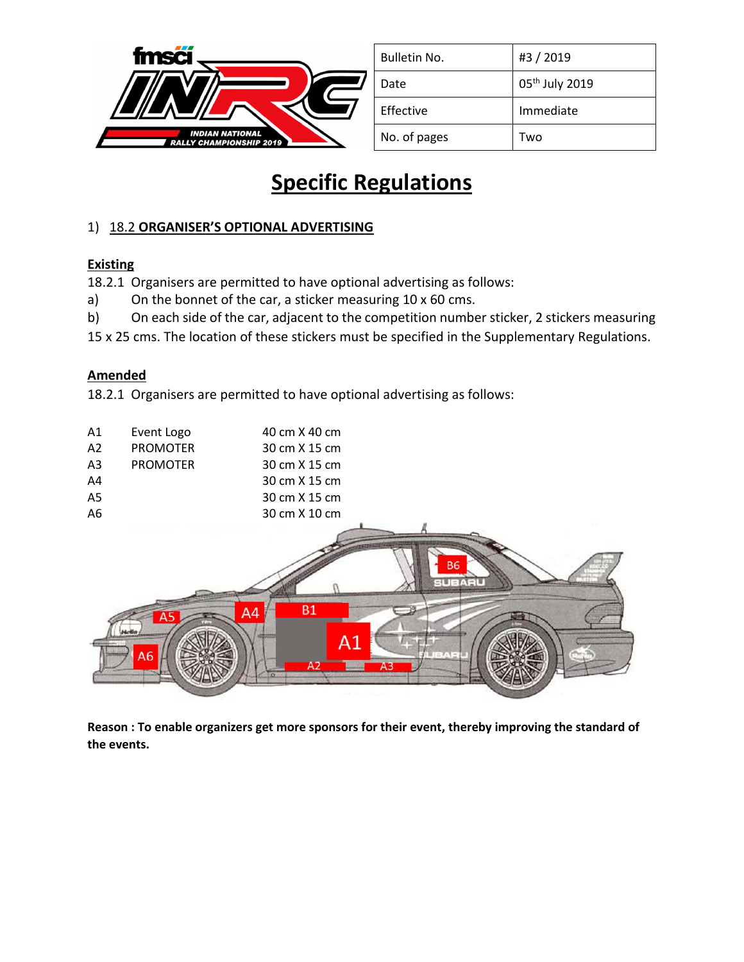

| Bulletin No. | #3 / 2019                  |
|--------------|----------------------------|
| Date         | 05 <sup>th</sup> July 2019 |
| Effective    | Immediate                  |
| No. of pages | Two                        |

## **Specific Regulations**

## 1) 18.2 **ORGANISER'S OPTIONAL ADVERTISING**

## **Existing**

18.2.1 Organisers are permitted to have optional advertising as follows:

- a) On the bonnet of the car, a sticker measuring 10 x 60 cms.
- b) On each side of the car, adjacent to the competition number sticker, 2 stickers measuring
- 15 x 25 cms. The location of these stickers must be specified in the Supplementary Regulations.

## **Amended**

18.2.1 Organisers are permitted to have optional advertising as follows:



**Reason : To enable organizers get more sponsors for their event, thereby improving the standard of the events.**